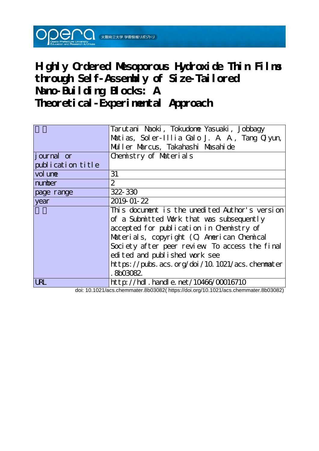

# **Highly Ordered Mesoporous Hydroxide Thin Films through Self-Assembly of Size-Tailored Nano-Building Blocks: A Theoretical-Experimental Approach**

|                   | Tarutani Naoki, Tokudone Yasuaki, Jobbagy      |  |  |  |  |
|-------------------|------------------------------------------------|--|--|--|--|
|                   | Matias, Soler-Illia Galo J. A. A., Tang Quyun, |  |  |  |  |
|                   | Muller Marcus, Takahashi Masahi de             |  |  |  |  |
| tiournal or       | Chemistry of Materials                         |  |  |  |  |
| publication title |                                                |  |  |  |  |
| vol une           | 31                                             |  |  |  |  |
| number            | 2                                              |  |  |  |  |
| page range        | 322-330                                        |  |  |  |  |
| year              | 2019-01-22                                     |  |  |  |  |
|                   | This document is the unedited Author's version |  |  |  |  |
|                   | of a Submitted Work that was subsequently      |  |  |  |  |
|                   | accepted for publication in Chemistry of       |  |  |  |  |
|                   | Materials, copyright (C) American Chemical     |  |  |  |  |
|                   | Society after peer review To access the final  |  |  |  |  |
|                   | edited and published work see                  |  |  |  |  |
|                   | https://pubs.acs.org/doi/10.1021/acs.chemmater |  |  |  |  |
|                   | 8603082                                        |  |  |  |  |
| URL               | http://hdl.handle.net/10466/00016710           |  |  |  |  |

doi: 10.1021/acs.chemmater.8b03082( https://doi.org/10.1021/acs.chemmater.8b03082)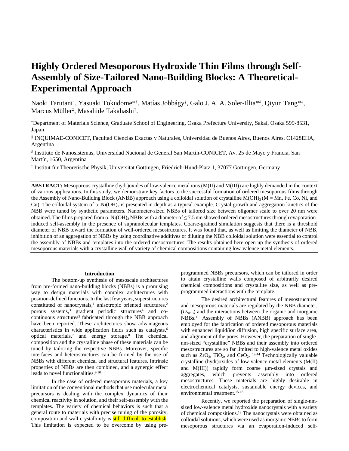# **Highly Ordered Mesoporous Hydroxide Thin Films through Self-Assembly of Size-Tailored Nano-Building Blocks: A Theoretical-Experimental Approach**

Naoki Tarutani†, Yasuaki Tokudome\*†, Matías Jobbágy<sup>§</sup>, Galo J. A. A. Soler-Illia\*#, Qiyun Tang\*‡, Marcus Müller‡ , Masahide Takahashi† .

†Department of Materials Science, Graduate School of Engineering, Osaka Prefecture University, Sakai, Osaka 599-8531, Japan

§ INQUIMAE-CONICET, Facultad Ciencias Exactas y Naturales, Universidad de Buenos Aires, Buenos Aires, C1428EHA, Argentina

# Instituto de Nanosistemas, Universidad Nacional de General San Martín-CONICET, Av. 25 de Mayo y Francia, San Martín, 1650, Argentina

‡ Institut für Theoretische Physik, Universität Göttingen, Friedrich-Hund-Platz 1, 37077 Göttingen, Germany

**ABSTRACT:** Mesoporous crystalline (hydr)oxides of low-valence metal ions (M(II) and M(III)) are highly demanded in the context of various applications. In this study, we demonstrate key factors to the successful formation of ordered mesoporous films through the Assembly of Nano-Building Block (ANBB) approach using a colloidal solution of crystalline  $M(OH)_2 (M = Mn, Fe, Co, Ni, and$ Cu). The colloidal system of  $\alpha$ -Ni(OH)<sub>2</sub> is presented in-depth as a typical example. Crystal growth and aggregation kinetics of the NBB were tuned by synthetic parameters. Nanometer-sized NBBs of tailored size between oligomer scale to over 20 nm were obtained. The films prepared from  $\alpha$ -Ni(OH)<sub>2</sub> NBBs with a diameter of  $\leq$  7.5 nm showed ordered mesostructures through evaporationinduced self-assembly in the presence of supramolecular templates. Coarse-grained simulation suggests that there is a threshold diameter of NBB toward the formation of well-ordered mesostructures. It was found that, as well as limiting the diameter of NBB, inhibition of an aggregation of NBBs by using coordinative additives or diluting the NBB colloidal solution were essential to control the assembly of NBBs and templates into the ordered mesostructures. The results obtained here open up the synthesis of ordered mesoporous materials with a crystalline wall of variety of chemical compositions containing low-valence metal elements.

#### **Introduction**

The bottom-up synthesis of mesoscale architectures from pre-formed nano-building blocks (NBBs) is a promising way to design materials with complex architectures with position-defined functions. In the last few years, superstructures constituted of nanocrystals,<sup>1</sup> anisotropic oriented structures,<sup>2</sup> porous systems,<sup>3</sup> gradient periodic structures<sup>4</sup> and cocontinuous structures<sup>5</sup> fabricated through the NBB approach have been reported. These architectures show advantageous characteristics in wide application fields such as catalysts,<sup>6</sup> optical materials,<sup>7</sup> and energy storage.<sup>8</sup> The chemical composition and the crystalline phase of these materials can be tuned by tailoring the respective NBBs. Moreover, specific interfaces and heterostructures can be formed by the use of NBBs with different chemical and structural features. Intrinsic properties of NBBs are then combined, and a synergic effect leads to novel functionalities.<sup>9,10</sup>

In the case of ordered mesoporous materials, a key limitation of the conventional methods that use molecular metal precursors is dealing with the complex dynamics of their chemical reactivity in solution, and their self-assembly with the templates. The variety of chemical behaviors is such that a general route to materials with precise tuning of the porosity, composition and wall crystallinity is still difficult to establish. This limitation is expected to be overcome by using pre-

programmed NBBs precursors, which can be tailored in order to attain crystalline walls composed of arbitrarily desired chemical compositions and crystallite size, as well as preprogrammed interactions with the template.

The desired architectural features of mesostructured and mesoporous materials are regulated by the NBB diameter,  $(D<sub>NBB</sub>)$  and the interactions between the organic and inorganic NBBs.<sup>11</sup> Assembly of NBBs (ANBB) approach has been employed for the fabrication of ordered mesoporous materials with enhanced liquid/ion diffusion, high specific surface area, and alignment of the pores. However, the preparation of singlenm-sized "crystalline" NBBs and their assembly into ordered mesostructures are so far limited to high-valence metal oxides such as  $ZrO_2$ , TiO<sub>2</sub>, and CeO<sub>2</sub>. <sup>12-14</sup> Technologically valuable crystalline (hydr)oxides of low-valence metal elements (M(II) and  $M(III)$  rapidly form coarse  $\mu$ m-sized crystals and aggregates, which prevents assembly into ordered mesostructures. These materials are highly desirable in electrochemical catalysts, sustainable energy devices, and environmental treatment.15-18

Recently, we reported the preparation of single-nmsized low-valence metal hydroxide nanocrystals with a variety of chemical compositions.<sup>19</sup> The nanocrystals were obtained as colloidal solutions, which were used as inorganic NBBs to form mesoporous structures via an evaporation-induced self-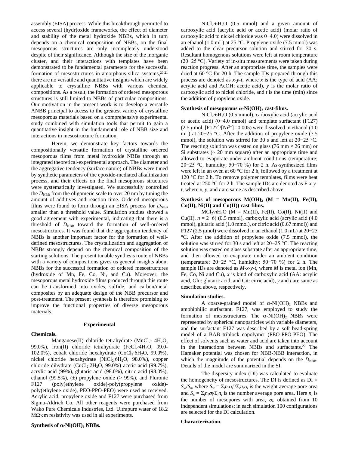assembly (EISA) process. While this breakthrough permitted to access several (hydr)oxide frameworks, the effect of diameter and stability of the metal hydroxide NBBs, which in turn depends on a chemical composition of NBBs, on the final mesoporous structures are only incompletely understood despite of their significance. Although the size of the inorganic cluster, and their interactions with templates have been demonstrated to be fundamental parameters for the successful formation of mesostructures in amorphous silica systems, $20,21$ there are no versatile and quantitative insights which are widely applicable to crystalline NBBs with various chemical compositions. As a result, the formation of ordered mesoporous structures is still limited to NBBs of particular compositions. Our motivation in the present work is to develop a versatile ANBB principal to access to the greatest variety of crystalline mesoporous materials based on a comprehensive experimental study combined with simulation tools that permit to gain a quantitative insight in the fundamental role of NBB size and interactions in mesostructure formation.

Herein, we demonstrate key factors towards the compositionally versatile formation of crystalline ordered mesoporous films from metal hydroxide NBBs through an integrated theoretical-experimental approach. The diameter and the aggregative tendency (surface nature) of NBBs were tuned by synthetic parameters of the epoxide-mediated alkalinization process, and their effects on the final mesoporous structures were systematically investigated. We successfully controlled the  $D_{\text{NBB}}$  from the oligomeric scale to over 20 nm by tuning the amount of additives and reaction time. Ordered mesoporous films were found to form through an EISA process for  $D_{\text{NBB}}$ smaller than a threshold value. Simulation studies showed a good agreement with experimental, indicating that there is a threshold of  $D_{\text{NBB}}$  toward the formation of well-ordered mesostructures. It was found that the aggregation tendency of NBBs is another important factor for the formation of welldefined mesostructures. The crystallization and aggregation of NBBs strongly depend on the chemical composition of the starting solutions. The present tunable synthesis route of NBBs with a variety of compositions gives us general insights about NBBs for the successful formation of ordered mesostructures (hydroxide of Mn, Fe, Co, Ni, and Cu). Moreover, the mesoporous metal hydroxide films produced through this route can be transformed into oxides, sulfide, and carbon/metal composites by an adequate design of the NBB precursor and post-treatment. The present synthesis is therefore promising to improve the functional properties of diverse mesoporous materials.

# **Experimental**

**Chemicals.**

Manganese(II) chloride tetrahydrate (MnCl<sub>2</sub>⋅ 4H<sub>2</sub>O, 99.0%), iron(II) chloride tetrahydrate (FeCl2⋅4H2O, 99.0-102.0%), cobalt chloride hexahydrate (CoCl<sub>2</sub>⋅6H<sub>2</sub>O, 99.0%), nickel chloride hexahydrate (NiCl<sub>2</sub>⋅6H<sub>2</sub>O, 98.0%), copper chloride dihydrate (CuCl<sub>2</sub>⋅2H<sub>2</sub>O, 99.0%) acetic acid (99.7%), acrylic acid (99%), glutaric acid (98.0%), citric acid (98.0%), ethanol (99.5%), (±) propylene oxide (> 99%), and Pluronic F127 (poly(ethylene oxide)-poly(propylene oxide)-F127 (poly(ethylene oxide)-poly(propylene oxide) poly(ethylene oxide), PEO-PPO-PEO) were used as received. Acrylic acid, propylene oxide and F127 were purchased from Sigma-Aldrich Co. All other reagents were purchased from Wako Pure Chemicals Industries, Ltd. Ultrapure water of 18.2 MΩ⋅cm resistivity was used in all experiments.

# **Synthesis of -Ni(OH)2 NBBs.**

NiCl<sub>2</sub>⋅6H<sub>2</sub>O (0.5 mmol) and a given amount of carboxylic acid (acrylic acid or acetic acid) (molar ratio of carboxylic acid to nickel chloride was 0−4.0) were dissolved in an ethanol (1.0 mL) at 25 °C. Propylene oxide (7.5 mmol) was added to the clear precursor solution and stirred for 30 s. Resultant homogenous solutions were left at room temperature (20−25 °C). Variety of in-situ measurements were taken during reaction progress. After an appropriate time, the samples were dried at 60 °C for 20 h. The sample IDs prepared through this process are denoted as *x*-*y*-*t*, where *x* is the type of acid (AA; acrylic acid and AcOH; acetic acid), *y* is the molar ratio of carboxylic acid to nickel chloride, and *t* is the time (min) since the addition of propylene oxide.

# **Synthesis of mesoporous**  $\alpha$ **-Ni(OH)**<sub>2</sub> cast-films.

NiCl<sub>2</sub>⋅6H<sub>2</sub>O (0.5 mmol), carboxylic acid (acrylic acid or acetic acid) (0−4.0 mmol) and template surfactant (F127)  $(2.5 \text{ µmol}, \text{[F127]}/\text{[Ni^{2+}}] = 0.005)$  were dissolved in ethanol  $(1.0 \text{ m})$ mL) at 20−25 °C. After the addition of propylene oxide (7.5 mmol), the solution was stirred for 30 s and left at 20−25 °C. The reacting solution was casted on glass (76 mm  $\times$  26 mm) or Si substrates  $($   $\sim$  20 mm square) after an appropriate time and allowed to evaporate under ambient conditions (temperature; 20−25 °C, humidity; 50−70 %) for 2 h. As-synthesized films were left in an oven at 60 °C for 2 h, followed by a treatment at 120 °C for 2 h. To remove polymer templates, films were heat treated at 250 °C for 2 h. The sample IDs are denoted as F-*x*-*yt*, where *x*, *y*, and *t* are same as described above.

# **Synthesis of mesoporous**  $M(OH)_2$  **(M = Mn(II), Fe(II), Co(II), Ni(II) and Cu(II)) cast-films.**

 $MCl_2$ ⋅*n*H<sub>2</sub>O (M = Mn(II), Fe(II), Co(II), Ni(II) and Cu(II),  $n = 2-6$ ) (0.5 mmol), carboxylic acid (acrylic acid (4.0) mmol), glutaric acid (1.0 mmol), or citric acid (0.67 mmol)) and F127 (2.5 µmol) were dissolved in an ethanol (1.0 mL) at  $20-25$ °C. After the addition of propylene oxide (7.5 mmol), the solution was stirred for 30 s and left at 20−25 °C. The reacting solution was casted on glass substrate after an appropriate time, and then allowed to evaporate under an ambient condition (temperature; 20−25 °C, humidity; 50−70 %) for 2 h. The sample IDs are denoted as *M*-*x*-*y*-*t*, where *M* is metal ion (Mn, Fe, Co, Ni and Cu), *x* is kind of carboxylic acid (AA: acrylic acid, Glu: glutaric acid, and Cit: citric acid), *y* and *t* are same as described above, respectively.

## **Simulation studies.**

A coarse-grained model of  $\alpha$ -Ni(OH)<sub>2</sub> NBBs and amphiphilic surfactant, F127, was employed to study the formation of mesostructures. The  $\alpha$ -Ni(OH)<sub>2</sub> NBBs were represented by spherical nanoparticles with variable diameters, and the surfactant F127 was described by a soft bead-spring model of a BAB triblock copolymer (PEO-PPO-PEO). The effect of solvents such as water and acid are taken into account in the interactions between NBBs and surfactants.<sup>22</sup> The Hamaker potential was chosen for NBB-NBB interaction, in which the magnitude of the potential depends on the  $D_{\text{NBB}}$ . Details of the model are summarized in the SI.

The dispersity index (DI) was calculated to evaluate the homogeneity of mesostructures. The DI is defined as  $DI =$  $S_w/S_n$ , where  $S_w = \sum_i n_i \sigma_i^2 / \sum_i n_i \sigma_i$  is the weight average pore area and  $S_n = \sum_i n_i \sigma_i / \sum_i n_i$  is the number average pore area. Here  $n_i$  is the number of mesopores with area,  $\sigma_i$ , obtained from 10 independent simulations; in each simulation 100 configurations are selected for the DI calculation.

#### **Characterization.**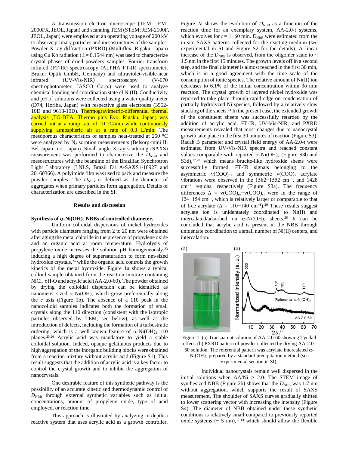A transmission electron microscope (TEM; JEM-2000FX, JEOL, Japan) and scanning TEM (STEM; JEM-2100F, JEOL, Japan) were employed at an operating voltage of 200 kV to observe primary particles and mesostructures of the samples. Powder X-ray diffraction (PXRD) (Multiflex, Rigaku, Japan) using Cu K $\alpha$  radiation ( $\lambda = 0.1544$  nm) was used to characterize crystal phases of dried powdery samples. Fourier transform infrared (FT-IR) spectroscopy (ALPHA FT-IR spectrometer, Bruker Optik GmbH, Germany) and ultraviolet-visible-near infrared (UV-Vis-NIR) spectroscopy (V-670 spectrophotometer, JASCO Corp.) were used to analyze chemical bonding and coordination state of Ni(II). Conductivity and pH of solutions were collected using a water quality meter (D74, Horiba, Japan) with respective glass electrodes (3552- 10D and 9618-10D). Thermogravimetric-differential thermal analysis (TG-DTA; Thermo plus Evo, Rigaku, Japan) was carried out at a ramp rate of 10 °C/min while continuously supplying atmospheric air at a rate of 0.3 L/min. The mesoporous characteristics of samples heat-treated at 250 °C were analyzed by  $N_2$  sorption measurements (Belsorp-mini II, Bel Japan Inc., Japan). Small angle X-ray scattering (SAXS) measurement was performed to characterize the  $D_{NBB}$  and mesostructures with the beamline of the Brazilian Synchrotron Light Laboratory (LNLS, Brazil D11A-SAXS1-18927 and 20160366). A polyimide film was used to pack and measure the powder samples. The  $D_{\text{NBB}}$  is defined as the diameter of aggregates when primary particles form aggregation. Details of characterization are described in the SI.

#### **Results and discussion**

#### **Synthesis of**  $\alpha$ **-Ni(OH)**<sub>2</sub> **NBBs of controlled diameter.**

Uniform colloidal dispersions of nickel hydroxides with particle diameters ranging from 2 to 20 nm were obtained after aging the metal chloride in the presence of propylene oxide and an organic acid at room temperature. Hydrolysis of propylene oxide increases the solution pH homogeneously,<sup>23</sup> inducing a high degree of supersaturation to form nm-sized hydroxide crystals,<sup>24</sup> while the organic acid controls the growth kinetics of the metal hydroxide. Figure 1a shows a typical colloid sample obtained from the reaction mixture containing NiCl<sub>2</sub>⋅6H<sub>2</sub>O and acrylic acid (AA-2.0-60). The powder obtained by drying the colloidal dispersion can be identified as nanometer sized  $\alpha$ -Ni(OH)<sub>2</sub> which grow preferentially along the *c* axis (Figure 1b). The absence of a 110 peak in the nanocolloid samples indicates both the formation of small crystals along the 110 direction (consistent with the isotropic particles observed by TEM, see below), as well as the introduction of defects, including the formation of a turbostratic ordering, which is a well-known feature of  $\alpha$ -Ni(OH)<sub>2</sub> 110 planes.25,26 Acrylic acid was mandatory to yield a stable colloidal solution. Indeed, opaque gelatinous products due to high aggregation of the inorganic building blocks were obtained from a reaction mixture without acrylic acid (Figure S1). This result suggests that the addition of acrylic acid is a key factor to control the crystal growth and to inhibit the aggregation of nanocrystals.

One desirable feature of this synthetic pathway is the possibility of an accurate kinetic and thermodynamic control of  $D_{NBB}$  through external synthetic variables such as initial concentrations, amount of propylene oxide, type of acid employed, or reaction time.

This approach is illustrated by analyzing in-depth a reactive system that uses acrylic acid as a growth controller.

Figure 2a shows the evolution of  $D_{\text{NBB}}$  as a function of the reaction time for an exemplary system, AA-2.0-*t* systems, which evolves for  $t = 1-60$  min.  $D_{NBB}$  were estimated from the in-situ SAXS patterns collected for the reacting medium (see experimental in SI and Figure S2 for the details). A linear increase of the  $D_{\text{NBB}}$  is observed, from the oligomer scale to  $\sim$ 1.5 nm in the first 15 minutes. The growth levels off in a second step, and the final diameter is almost reached in the first 30 min, which is in a good agreement with the time scale of the consumption of ionic species. The relative amount of Ni(II) ion decreases to 6.1% of the initial concentration within 3o min reaction. The crystal growth of layered nickel hydroxide was reported to take place through rapid edge-on condensation of partially hydrolyzed Ni species, followed by a relatively slow stacking of the sheets.<sup>24</sup> In the present case, the extended growth of the constituent sheets was successfully retarded by the addition of acrylic acid. FT-IR, UV-Vis-NIR, and PXRD measurements revealed that most changes due to nanocrystal growth take place in the first 30 minutes of reaction (Figure S3). Racah B parameter and crystal field energy of AA-2.0-*t* were estimated from UV-Vis-NIR spectra and reached constant values comparable with reported  $\alpha$ -Ni(OH)<sub>2</sub> (Figure S3b and S3d),<sup>27,28</sup> which means brucite-like hydroxide sheets were successfully formed. FT-IR signals belonging to the asymmetric  $v(COO)_{as}$  and symmetric  $v(COO)_{s}$  acrylate vibrations were observed in the 1582−1552 cm−1, and 1428 cm−1 regions, respectively (Figure S3a). The frequency differences  $\Delta = v(COO)_{as} - v(COO)_{s}$ , were in the range of 124−154 cm−1, which is relatively larger or comparable to that of free acrylate ( $\Delta = 110-140$  cm<sup>-1</sup>).<sup>29</sup> These results suggest acrylate ion is unidentately coordinated to Ni(II) and intercalated/adsorbed on  $\alpha$ -Ni(OH)<sub>2</sub> sheets.<sup>28</sup> It can be concluded that acrylic acid is present in the NBB through unidentate coordination to a small number of Ni(II) centers, and intercalation.



Figure 1. (a) Transparent solution of AA-2.0-60 showing Tyndall effect. (b) PXRD pattern of powder collected by drying AA-2.0- 60 solution. The referential pattern was acrylate intercalated  $\alpha$ -Ni(OH)2 prepared by a standard precipitation method (see experimental section in SI).

Individual nanocrystals remain well dispersed in the initial solutions when  $AA/Ni > 2.0$ . The STEM image of synthesized NBB (Figure 2b) shows that the  $D_{\text{NBB}}$  was 1.7 nm without aggregation, which supports the result of SAXS measurement. The shoulder of SAXS curves gradually shifted to lower scattering vector with increasing the intensity (Figure S4). The diameter of NBB obtained under these synthetic conditions is relatively small compared to previously reported oxide systems  $({\sim 5 \text{ nm}})^{12-14}$  which should allow the flexible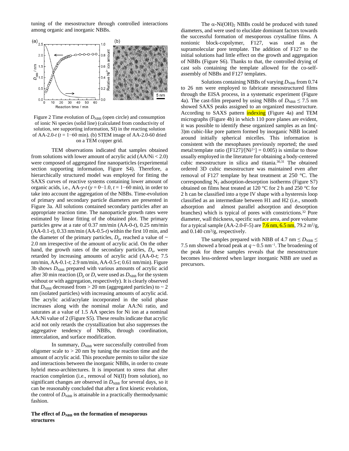tuning of the mesostructure through controlled interactions among organic and inorganic NBBs.



Figure 2 Time evolution of  $D_{NBB}$  (open circle) and consumption of ionic Ni species (solid line) (calculated from conductivity of solution, see supporting information, SI) in the reacting solution of AA-2.0-*t* (*t* = 1−60 min). (b) STEM image of AA-2.0-60 dried on a TEM copper grid.

TEM observations indicated that samples obtained from solutions with lower amount of acrylic acid  $(AA/Ni < 2.0)$ were composed of aggregated fine nanoparticles (experimental section supporting information, Figure S4). Therefore, a hierarchically structured model was employed for fitting the SAXS curves of reactive systems containing lower amount of organic acids, i.e., AA-*y*-*t* ( $y = 0$ –1.0,  $t = 1$ –60 min), in order to take into account the aggregation of the NBBs. Time-evolution of primary and secondary particle diameters are presented in Figure 3a. All solutions contained secondary particles after an appropriate reaction time. The nanoparticle growth rates were estimated by linear fitting of the obtained plot. The primary particles grew at a rate of 0.37 nm/min (AA-0-*t*), 0.25 nm/min (AA-0.1-*t*), 0.33 nm/min (AA-0.5-*t*) within the first 10 min, and the diameter of the primary particles,  $D_p$ , reached a value of  $\sim$ 2.0 nm irrespective of the amount of acrylic acid. On the other hand, the growth rates of the secondary particles,  $D_s$ , were retarded by increasing amounts of acrylic acid (AA-0-*t*; 7.5 nm/min, AA-0.1-*t*; 2.9 nm/min, AA-0.5-*t*; 0.61 nm/min). Figure  $3b$  shows  $D_{\text{NBB}}$  prepared with various amounts of acrylic acid after 30 min reaction ( $D_{\rm p}$  or  $D_{\rm s}$  were used as  $D_{\rm NBB}$  for the system without or with aggregation, respectively). It is clearly observed that  $D_{NBB}$  decreased from  $> 20$  nm (aggregated particles) to  $\sim 2$ nm (isolated particles) with increasing amounts of acrylic acid. The acrylic acid/acrylate incorporated in the solid phase increases along with the nominal molar AA:Ni ratio, and saturates at a value of 1.5 AA species for Ni ion at a nominal AA:Ni value of 2 (Figure S5). These results indicate that acrylic acid not only retards the crystallization but also suppresses the aggregative tendency of NBBs, through coordination, intercalation, and surface modification.

In summary,  $D_{\text{NBB}}$  were successfully controlled from oligomer scale to  $> 20$  nm by tuning the reaction time and the amount of acrylic acid. This procedure permits to tailor the size and interactions between the inorganic NBBs, in order to create hybrid meso-architectures. It is important to stress that after reaction completion (i.e., removal of Ni(II) from solution), no significant changes are observed in  $D_{\text{NBB}}$  for several days, so it can be reasonably concluded that after a first kinetic evolution, the control of  $D_{\text{NBB}}$  is attainable in a practically thermodynamic fashion.

## The effect of  $D_{\text{NBB}}$  on the formation of mesoporous **structures**

The  $\alpha$ -Ni(OH)<sub>2</sub> NBBs could be produced with tuned diameters, and were used to elucidate dominant factors towards the successful formation of mesoporous crystalline films. A nonionic block-copolymer, F127, was used as the supramolecular pore template. The addition of F127 to the initial solutions had little effect on the growth and aggregation of NBBs (Figure S6). Thanks to that, the controlled drying of cast sols containing the template allowed for the co-selfassembly of NBBs and F127 templates.

Solutions containing NBBs of varying  $D_{\text{NBB}}$  from 0.74 to 26 nm were employed to fabricate mesostructured films through the EISA process, in a systematic experiment (Figure 4a). The cast-film prepared by using NBBs of  $D_{NBB} \le 7.5$  nm showed SAXS peaks assigned to an organized mesostructure. According to SAXS pattern indexing (Figure 4a) and TEM micrographs (Figure 4b) in which 110 pore planes are evident, it was possible to identify these organized samples as an Im(- 3)m cubic-like pore pattern formed by inorganic NBB located around initially spherical micelles. This information is consistent with the mesophases previously reported; the used metal:template ratio ( $[F127]/[Ni^{2+}] = 0.005$ ) is similar to those usually employed in the literature for obtaining a body-centered cubic mesostructure in silica and titania.30,31 The obtained ordered 3D cubic mesostructure was maintained even after removal of F127 template by heat treatment at 250 °C. The corresponding  $N_2$  adsorption-desorption isotherms (Figure S7) obtained on films heat treated at 120 °C for 2 h and 250 °C for 2 h can be classified into a type IV shape with a hysteresis loop classified as an intermediate between H1 and H2 (i.e., smooth adsorption and almost parallel adsorption and desorption branches) which is typical of pores with constrictions.<sup>32</sup> Pore diameter, wall thickness, specific surface area, and pore volume for a typical sample (AA-2.0-F-5) are **7.6 nm, 6.5 nm**, 79.2 m<sup>2</sup>/g, and 0.140 cm<sup>3</sup> /g, respectively.

The samples prepared with NBB of 4.7 nm  $\leq$  *D*<sub>NBB</sub>  $\leq$ 7.5 nm showed a broad peak at  $q \sim 0.5$  nm<sup>-1</sup>. The broadening of the peak for these samples reveals that the mesostructure becomes less-ordered when larger inorganic NBB are used as precursors.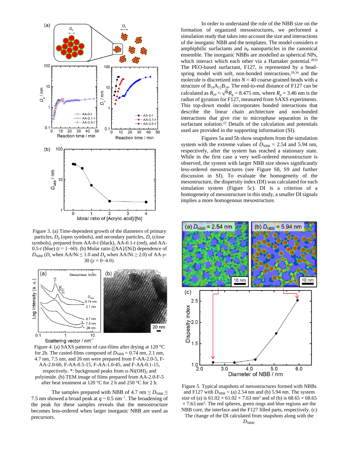

Figure 3. (a) Time-dependent growth of the diameters of primary particles, *D*p (open symbols), and secondary particles, *D*<sup>s</sup> (close symbols), prepared from AA-0-*t* (black), AA-0.1-*t* (red), and AA-0.5-*t* (blue) (*t* = 1−60). (b) Molar ratio ([AA]/[Ni]) dependence of  $D_{\text{NBB}}$  (*D*<sub>s</sub> when AA/Ni  $\leq 1.0$  and  $D_{\text{p}}$  when AA/Ni  $\geq 2.0$ ) of AA-y-30 ( $y = 0-4.0$ ).



Figure 4. (a) SAXS patterns of cast-films after drying at 120 °C for 2h. The casted-films composed of  $D_{\text{NBB}} = 0.74$  nm, 2.1 nm, 4.7 nm, 7.5 nm, and 26 nm were prepared from F-AA-2.0-5, F-AA-2.0-60, F-AA-0.5-15, F-AA-1.0-45, and F-AA-0.1-15, respectively. \*: background peaks from  $\alpha$ -Ni(OH)<sub>2</sub> and polyimide. (b) TEM image of films prepared from AA-2.0-F-5 after heat treatment at 120 °C for 2 h and 250 °C for 2 h.

The samples prepared with NBB of 4.7 nm  $\leq$  *D*<sub>NBB</sub>  $\leq$ 7.5 nm showed a broad peak at  $q \sim 0.5$  nm<sup>-1</sup>. The broadening of the peak for these samples reveals that the mesostructure becomes less-ordered when larger inorganic NBB are used as precursors.

In order to understand the role of the NBB size on the formation of organized mesostructures, we performed a simulation study that takes into account the size and interactions of the inorganic NBB and the templates. The model considers *n* amphiphilic surfactants and  $n<sub>P</sub>$  nanoparticles in the canonical ensemble. The inorganic NBBs are modelled as spherical NPs, which interact which each other via a Hamaker potential.<sup>2833</sup> The PEO-based surfactant, F127, is represented by a beadspring model with soft, non-bonded interactions,  $29,34$  and the molecule is discretized into  $N = 40$  coarse-grained beads with a structure of  $B_{14}A_{12}B_{14}$ . The end-to-end distance of F127 can be calculated as  $R_{e0} \approx \sqrt{6}R_g = 8.475$  nm, where  $R_g = 3.46$  nm is the radius of gyration for F127, measured from  $SARS$  experiments. This top-down model incorporates bonded interactions that describe the linear chain architecture and non-bonded interactions that give rise to microphase separation in the surfactant solution.<sup>22</sup> Details of the calculation and potentials used are provided in the supporting information (SI).

Figures 5a and 5b show snapshots from the simulation system with the extreme values of  $D_{NBB} = 2.54$  and 5.94 nm, respectively, after the system has reached a stationary state. While in the first case a very well-ordered mesostructure is observed, the system with larger NBB size shows significantly less-ordered mesostructures (see Figure S8, S9 and further discussion in SI). To evaluate the homogeneity of the mesostructure, the dispersity index (DI) was calculated for each simulation system (Figure 5c). DI is a criterion of a homogeneity of mesostructure in this study, a smaller DI signals implies a more homogenous mesostructure.



Figure 5. Typical snapshots of mesostructures formed with NBBs and F127 with  $D_{\text{NBB}} = (a)$  2.54 nm and (b) 5.94 nm. The system size of (a) is  $61.02 \times 61.02 \times 7.63$  nm<sup>3</sup> and of (b) is  $68.65 \times 68.65$  $\times$  7.63 nm<sup>3</sup>. The red spheres, green rings and blue regions are the NBB core, the interface and the F127 filled parts, respectively. (c) The change of the DI calculated from snapshots along with the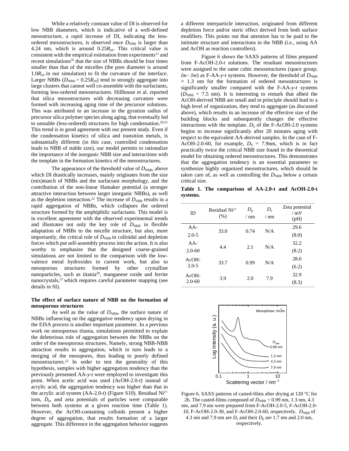While a relatively constant value of DI is observed for low NBB diameters, which is indicative of a well-defined mesostructure, a rapid increase of DI, indicating the lessordered mesostructures, is observed once  $D_{\text{NBB}}$  is larger than 4.24 nm, which is around  $0.25R_{e0}$ . This critical value is consistent with the empirical estimation from experiments<sup>11</sup> and recent simulations<sup>35</sup> that the size of NBBs should be four times smaller than that of the micelles (the pore diameter is around  $1.0R_{e0}$  in our simulation) to fit the curvature of the interface. Larger NBBs ( $D_{\text{NBB}} > 0.25 R_{e0}$ ) tend to strongly aggregate into large clusters that cannot well co-assemble with the surfactants, forming less-ordered mesostructures. Hillhouse et al. reported that silica mesostructures with decreasing curvature were formed with increasing aging time of the precursor solutions. This was attributed to an increase in the gyration radius of precursor silica polymer species along aging, that eventually led to unstable (less-ordered) structures for high condensation. $20,21$ This trend is in good agreement with our present study. Even if the condensation kinetics of silica and transition metals, is substantially different (in this case, controlled condensation leads to NBB of stable size), our model permits to rationalize the importance of the inorganic NBB size and interactions with the template in the formation kinetics of the mesostructures.

The appearance of the threshold value of  $D_{\text{NBB}}$ , above which DI drastically increases, mainly originates from the size (mis)match of NBBs and the surfactant morphology, and the contribution of the non-linear Hamaker potential (a stronger attractive interaction between larger inorganic NBBs), as well as the depletion interaction.<sup>22</sup> The increase of  $D_{\text{NBB}}$  results in a rapid aggregation of NBBs, which collapses the ordered structure formed by the amphiphilic surfactants. This model is in excellent agreement with the observed experimental trends and illustrates not only the key role of  $D_{\text{NBB}}$  in flexible adaptation of NBBs to the micelle structure, but also, more importantly, the critical role of  $D_{\text{NBB}}$  in colloidal and depletion forces which put self-assembly process into the action. It is also worthy to emphasize that the designed coarse-grained simulations are not limited to the comparison with the lowvalence metal hydroxides in current work, but also to mesoporous structures formed by other crystalline nanoparticles, such as titania<sup>36</sup>, manganese oxide and ferrite nanocrystals,<sup>37</sup> which requires careful parameter mapping (see details in SI).

# **The effect of surface nature of NBB on the formation of mesoporous structures**

As well as the value of  $D_{\text{NBB}}$ , the surface nature of NBBs influencing on the aggregative tendency upon drying in the EISA process is another important parameter. In a previous work on mesoporous titania, simulations permitted to explain the deleterious role of aggregation between the NBBs on the order of the mesoporous structures. Namely, strong NBB-NBB attraction results in aggregation, which in turn leads to a merging of the mesopores, thus leading to poorly defined mesostructures.<sup>22</sup> In order to test the generality of this hypothesis, samples with higher aggregation tendency than the previously presented AA-*y*-*t* were employed to investigate this point. When acetic acid was used (AcOH-2.0-*t*) instead of acrylic acid, the aggregation tendency was higher than that in the acrylic acid system (AA-2.0-*t*) (Figure S10). Residual Ni2+ ions,  $D_p$ , and zeta potentials of particles were comparable between both systems at a given reaction time (Table 1). However, the AcOH-containing colloids present a higher degree of aggregation, that results formation of a larger aggregate. This difference in the aggregation behavior suggests

a different interparticle interaction, originated from different depletion force and/or steric effect derived from both surface modifiers. This points out that attention has to be paid to the intimate structure and interactions in the NBB (i.e., using AA and AcOH as reaction controllers).

Figure 6 shows the SAXS patterns of films prepared from F-AcOH-2.0-*t* solutions. The resultant mesostructures were assigned to the same cubic mesostructures (space group; *Im* $-3m$ ) as F-AA-*y*-*t* systems. However, the threshold of  $D_{\text{NBB}}$ = 1.3 nm for the formation of ordered mesostructures is significantly smaller compared with the F-AA-*y*-*t* systems  $(D_{\text{NBB}} < 7.5 \text{ nm})$ . It is interesting to remark that albeit the AcOH-derived NBB are small and in principle should lead to a high level of organization, they tend to aggregate (as discussed above), which results in an increase of the effective size of the building blocks and subsequently changes the effective interactions with the template.  $D<sub>S</sub>$  of the F-AcOH-2.0 systems begins to increase significantly after 20 minutes aging with respect to the equivalent AA-derived samples. In the case of F-AcOH-2.0-60, for example,  $D_S = 7.9$ nm, which is in fact practically twice the critical NBB size found in the theoretical model for obtaining ordered mesostructures. This demonstrates that the aggregation tendency is an essential parameter to synthesize highly organized mesostructures, which should be taken care of, as well as controlling the  $D_{\text{NBB}}$  below a certain critical size.

**Table 1. The comparison of AA-2.0-t and AcOH-2.0-t systems.**

| ID                    | Residual $Ni2+$<br>(% ) | $D_{\rm p}$<br>$/ \text{nm}$ | $D_{s}$<br>$/ \text{nm}$ | Zeta potential<br>/mV<br>(pH) |
|-----------------------|-------------------------|------------------------------|--------------------------|-------------------------------|
| $AA-$                 | 33.0                    | 0.74                         | N/A                      | 29.6                          |
| $2.0 - 5$             |                         |                              |                          | (8.0)                         |
| $AA-$                 | 4.4                     | 2.1                          | N/A                      | 32.2                          |
| $2.0 - 60$            |                         |                              |                          | (8.2)                         |
| $AcOH-$<br>$2.0 - 5$  | 33.7                    | 0.99                         | N/A                      | 28.6                          |
|                       |                         |                              |                          | (6.2)                         |
| $AcOH-$<br>$2.0 - 60$ | 3.9                     | 2.0                          | 7.9                      | 32.9                          |
|                       |                         |                              |                          | (8.3)                         |



Figure 6. SAXS patterns of casted-films after drying at 120 °C for 2h. The casted-films composed of  $D_{\text{NBB}} = 0.99$  nm, 1.3 nm, 4.3 nm, and 7.9 nm were prepared from F-AcOH-2.0-5, F-AcOH-2.0- 10, F-AcOH-2.0-30, and F-AcOH-2.0-60, respectively.  $D_{NBB}$  of 4.3 nm and 7.9 nm are  $D_s$  and their  $D_p$  are 1.7 nm and 2.0 nm, respectively.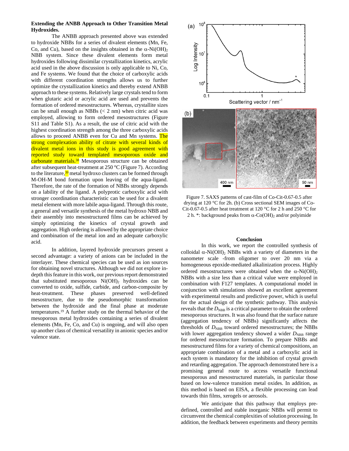#### **Extending the ANBB Approach to Other Transition Metal Hydroxides.**

The ANBB approach presented above was extended to hydroxide NBBs for a series of divalent elements (Mn, Fe, Co, and Cu), based on the insights obtained in the  $\alpha$ -Ni(OH)<sub>2</sub> NBB system. Since these divalent elements form metal hydroxides following dissimilar crystallization kinetics, acrylic acid used in the above discussion is only applicable to Ni, Co, and Fe systems. We found that the choice of carboxylic acids with different coordination strengths allows us to further optimize the crystallization kinetics and thereby extend ANBB approach to these systems. Relatively large crystals tend to form when glutaric acid or acrylic acid are used and prevents the formation of ordered mesostructures. Whereas, crystallite sizes can be small enough as NBBs  $(< 2$  nm) when citric acid was employed, allowing to form ordered mesostructures (Figure S11 and Table S1). As a result, the use of citric acid with the highest coordination strength among the three carboxylic acids allows to proceed ANBB even for Cu and Mn systems. The strong complexation ability of citrate with several kinds of divalent metal ions in this study is good agreement with reported study toward templated mesoporous oxide and carbonate materials.<sup>38</sup> Mesoporous structure can be obtained after subsequent heat-treatment at 250 °C (Figure 7). According to the literature,<sup>39</sup> metal hydroxo clusters can be formed through M-OH-M bond formation upon leaving of the aqua-ligand. Therefore, the rate of the formation of NBBs strongly depends on a lability of the ligand. A polyprotic carboxylic acid with stronger coordination characteristic can be used for a divalent metal element with more labile aqua-ligand. Through this route, a general and versatile synthesis of the metal hydroxo NBB and their assembly into mesostructured films can be achieved by simply optimizing the kinetics of crystal growth and aggregation. High ordering is allowed by the appropriate choice and combination of the metal ion and an adequate carboxylic acid.

In addition, layered hydroxide precursors present a second advantage: a variety of anions can be included in the interlayer. These chemical species can be used as ion sources for obtaining novel structures. Although we did not explore indepth this feature in this work, our previous report demonstrated that substituted mesoporous  $Ni(OH)$ <sub>2</sub> hydroxides can be converted to oxide, sulfide, carbide, and carbon-composite by heat-treatment. These phases preserved well-defined mesostructure, due to the pseudomorphic transformation between the hydroxide and the final phase at moderate temperatures.<sup>19</sup> A further study on the thermal behavior of the mesoporous metal hydroxides containing a series of divalent elements (Mn, Fe, Co, and Cu) is ongoing, and will also open up another class of chemical versatility in anionic species and/or valence state.



Figure 7. SAXS patterns of cast-film of Co-Cit-0.67-0.5 after drying at 120 °C for 2h. (b) Cross sectional SEM images of Co-Cit-0.67-0.5 after heat treatment at 120  $^{\circ}$ C for 2 h and 250  $^{\circ}$ C for 2 h. \*: background peaks from  $\alpha$ -Co(OH)<sub>2</sub> and/or polyimide

#### **Conclusion**

In this work, we report the controlled synthesis of colloidal  $\alpha$ -Ni(OH)<sub>2</sub> NBBs with a variety of diameters in the nanometer scale -from oligomer to over 20 nm via a homogeneous epoxide-mediated alkalinization process. Highly ordered mesostructures were obtained when the  $\alpha$ -Ni(OH)<sub>2</sub> NBBs with a size less than a critical value were employed in combination with F127 templates. A computational model in conjunction with simulations showed an excellent agreement with experimental results and predictive power, which is useful for the actual design of the synthetic pathway. This analysis reveals that the  $D_{\text{NBB}}$  is a critical parameter to obtain the ordered mesoporous structures. It was also found that the surface nature (aggregation tendency of NBBs) significantly affects the thresholds of  $D_{NBB}$  toward ordered mesostructures; the NBBs with lower aggregation tendency showed a wider  $D_{NBR}$  range for ordered mesostructure formation. To prepare NBBs and mesostructured films for a variety of chemical compositions, an appropriate combination of a metal and a carboxylic acid in each system is mandatory for the inhibition of crystal growth and retarding aggregation. The approach demonstrated here is a promising general route to access versatile functional mesoporous and mesostructured materials, in particular those based on low-valence transition metal oxides. In addition, as this method is based on EISA, a flexible processing can lead towards thin films, xerogels or aerosols.

We anticipate that this pathway that employs predefined, controlled and stable inorganic NBBs will permit to circumvent the chemical complexities of solution processing. In addition, the feedback between experiments and theory permits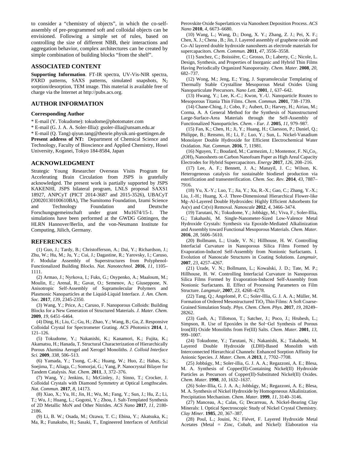to consider a "chemistry of objects", in which the co-selfassembly of pre-programmed soft and colloidal objects can be envisioned. Following a simple set of rules, based on controlling the size of different NBB, their interactions and aggregation behavior, complex architectures can be created by simple combination of building blocks "from the shelf".

# **ASSOCIATED CONTENT**

**Supporting Information**. FT-IR spectra, UV-Vis-NIR spectra, PXRD patterns, SAXS patterns, simulated snapshots,  $N_2$ sorption/desorption, TEM image. This material is available free of charge via the Internet at http://pubs.acs.org.

# **AUTHOR INFORMATION**

#### **Corresponding Author**

\* E-mail (Y. Tokudome): tokudome@photomater.com

\* E-mail (G. J. A. A. Soler-Illia): gsoler-illia@unsam.edu.ar

\* E-mail (Q. Tang) qiyun.tang@theorie.physik.uni-goettingen.de

Present address of NT: Department of Chemical Science and Technology, Faculty of Bioscience and Applied Chemistry, Hosei University, Koganei, Tokyo 184-8584, Japan

# **ACKNOWLEDGMENT**

Strategic Young Researcher Overseas Visits Program for Accelerating Brain Circulation from JSPS is gratefully acknowledged. The present work is partially supported by JSPS KAKENHI, JSPS bilateral program, LNLS proposal SAXS1 18927, ANPCyT (PICT 2014-3687 and 2015-3526), UBACyT (20020130100610BA), The Sumitomo Foundation, Izumi Science and Technology Foundation and Deutsche Forschungsgemeinschaft under grant Mu1674/15-1. The simulations have been performed at the GWDG Göttingen, the HLRN Hannover/Berlin, and the von-Neumann Institute for Computing, Jülich, Germany.

#### **REFERENCES**

(1) Guo, J.; Tardy, B.; Christofferson, A.; Dai, Y.; Richardson, J.; Zhu, W.; Hu, M.; Ju, Y.; Cui, J.; Dagastine, R.; Yarovsky, I.; Caruso, F. Modular Assembly of Superstructures from Polyphenol-Functionalized Building Blocks. *Nat. Nanotechnol.* **2016**, *11*, 1105– 1111.

(2) Armao, J.; Nyrkova, I.; Fuks, G.; Osypenko, A.; Maaloum, M.; Moulin, E.; Arenal, R.; Gavat, O.; Semenov, A.; Giuseppone, N. Anisotropic Self-Assembly of Supramolecular Polymers and Plasmonic Nanoparticles at the Liquid-Liquid Interface. *J. Am. Chem. Soc.* **2017**, *139*, 2345-2350.

(3) Wang, Y.; Price, A.; Caruso, F. Nanoporous Colloids: Building Blocks for a New Generation of Structured Materials. *J. Mater. Chem.* **2009**, *19*, 6451–6464.

(4) Ding, H.; Liu, C.; Gu, H.; Zhao, Y.; Wang, B.; Gu, Z. Responsive Colloidal Crystal for Spectrometer Grating. *ACS Photonics* **2014**, *1*, 121–126.

(5) Tokudome, Y.; Nakanishi, K.; Kanamori, K.; Fujita, K.; Akamatsu, H.; Hanada, T. Structural Characterization of Hierarchically Porous Alumina Aerogel and Xerogel Monoliths. *J. Colloid Interface Sci.* **2009**, *338*, 506–513.

(6) Yamada, Y.; Tsung, C.-K.; Huang, W.; Huo, Z.; Habas, S.; Soejima, T.; Aliaga, C.; Somorjai, G.; Yang, P. Nanocrystal Bilayer for Tandem Catalysis. *Nat. Chem.* **2011**, *3*, 372–376.

(7) Wang, Y.; Jenkins, I.; McGinley, J.; Sinno, T.; Crocker, J. Colloidal Crystals with Diamond Symmetry at Optical Lengthscales. *Nat. Commun.* **2017**, *8*, 14173.

(8) Xiao, X.; Yu, H.; Jin, H.; Wu, M.; Fang, Y.; Sun, J.; Hu, Z.; Li, T.; Wu, J.; Huang, L.; Gogotsi, Y.; Zhou, J. Salt-Templated Synthesis of 2D Metallic MoN and Other Nitrides. *ACS Nano* **2017**, *11*, 2180- 2186.

(9) Li, B. W.; Osada, M.; Ozawa, T. C.; Ebina, Y.; Akatsuka, K.; Ma, R.; Funakubo, H.; Sasaki, T., Engineered Interfaces of Artificial Perovskite Oxide Superlattices via Nanosheet Deposition Process. *ACS Nano* **2010**, *4*, 6673–6680.

(10) Wang, L.; Wang, D.; Dong, X. Y.; Zhang, Z. J.; Pei, X. F.; Chen, X. J.; Chena , B.; Jin, J. Layered assembly of graphene oxide and Co–Al layered double hydroxide nanosheets as electrode materials for supercapacitors. *Chem. Commun.* **2011**, *47*, 3556–3558.

(11) Sanchez, C.; Boissière, C.; Grosso, D.; Laberty, C.; Nicole, L. Design, Synthesis, and Properties of Inorganic and Hybrid Thin Films Having Periodically Organized Nanoporosity. *Chem. Mater.* **2008**, *20*, 682–737.

(12) Wong, M.; Jeng, E.; Ying, J. Supramolecular Templating of Thermally Stable Crystalline Mesoporous Metal Oxides Using Nanoparticulate Precursors. *Nano Lett.* **2001**, *1*, 637–642.

(13) Hwang, Y.; Lee, K.-C.; Kwon, Y.-U. Nanoparticle Routes to Mesoporous Titania Thin Films. *Chem. Commun.* **2001**, 738–1739.

(14) Chane-Ching, J.; Cobo, F.; Aubert, D.; Harvey, H.; Airiau, M.; Corma, A. A General Method for the Synthesis of Nanostructured Large-Surface-Area Materials through the Self-Assembly of Functionalized Nanoparticles. *Chem. - Eur. J.* **2005**, *11*, 979–987.

(15) Fan, K.; Chen, H.; Ji, Y.; Huang, H.; Claesson, P.; Daniel, Q.; Philippe, B.; Rensmo, H.; Li, F.; Luo, Y.; Sun, L. Nickel-Vanadium Monolayer Double Hydroxide for Efficient Electrochemical Water Oxidation. *Nat. Commun.* **2016**, 7, 11981.

(16) Nguyen, T.; Boudard, M.; Carmezim, J.; Montemor, F.  $Ni<sub>x</sub>Co<sub>1</sub>$ .  $x_0(\text{OH})_2$  Nanosheets on Carbon Nanofoam Paper as High Areal Capacity Electrodes for Hybrid Supercapacitors. *Energy* **2017**, *126*, 208–216.

(17) Lee, A. F.; Bennett, J. A.; Manayil, J. C.; Wilson, K. Heterogeneous catalysis for sustainable biodiesel production via esterification and transesterification. *Chem. Soc. Rev.* **2014**, *43*, 7887– 7916.

(18) Yu, X.-Y.; Luo, T.; Jia, Y.; Xu, R.-X.; Gao, C.; Zhang, Y.-X.; Liu, J.-H.; Huang, X.-J. Three-Dimensional Hierarchical Flower-like Mg–Al-Layered Double Hydroxides: Highly Efficient Adsorbents for As(v) and Cr(vi) Removal. *Nanoscale* **2012**, *4*, 3466–3474.

(19) Tarutani, N.; Tokudome, Y.; Jobbágy, M.; Viva, F.; Soler-Illia, G.; Takahashi, M. Single-Nanometer-Sized Low-Valence Metal Hydroxide Crystals: Synthesis via Epoxide-Mediated Alkalinization and Assembly toward Functional Mesoporous Materials. *Chem. Mater.* **2016**, *28*, 5606–5610.

(20) Bollmann, L.; Urade, V. N.; Hillhouse, H. W. Controlling Interfacial Curvature in Nanoporous Silica Films Formed by Evaporation-Induced Self-Assembly from Nonionic Surfactants. I. Evolution of Nanoscale Structures in Coating Solutions. *Langmuir*, **2007**, *23*, 4257–4267.

(21) Urade, V. N.; Bollmann, L.; Kowalski, J. D.; Tate, M. P.; Hillhouse, H. W. Controlling Interfacial Curvature in Nanoporous Silica Films Formed by Evaporation-Induced Self-Assembly from Nonionic Surfactants. II. Effect of Processing Parameters on Film Structure. *Langmuir*, **2007**, *23*, 4268–4278.

(22) Tang, Q.; Angelomé, P. C.; Soler-Illia, G. J. A. A.; Müller, M. Formation of Ordered Mesostructured TiO<sub>2</sub> Thin Films: A Soft Coarse-Grained Simulation Study. *Phys. Chem. Chem. Phys.* **2017**, *19*, 28249– 28262.

(23) Gash, A.; Tillotson, T.; Satcher, J.; Poco, J.; Hrubesh, L.; Simpson, R. Use of Epoxides in the Sol−Gel Synthesis of Porous Iron(III) Oxide Monoliths from Fe(III) Salts. *Chem. Mater.* **2001**, *13*, 999–1007.

(24) Tokudome, Y.; Tarutani, N.; Nakanishi, K.; Takahashi, M. Layered Double Hydroxide (LDH)-Based Monolith with Interconnected Hierarchical Channels: Enhanced Sorption Affinity for Anionic Species. *J. Mater. Chem. A* **2013**, *1*, 7702–7708.

(25) Jobbágy, M.; Soler-illia, G. J. A. A.; Regazzoni, A. E.; Blesa, M. A. Synthesis of Copper(II)-Containing Nickel(II) Hydroxide Particles as Precursors of Copper(II)-Substituted Nickel(II) Oxides. *Chem. Mater.* **1998**, *10*, 1632–1637.

(26) Soler-Illia, G. J. A. A.; Jobbágy, M.; Regazzoni, A. E.; Blesa, M. A. Synthesis of Nickel Hydroxide by Homogeneous Alkalinization. Precipitation Mechanism. *Chem. Mater.* **1999**, *11*, 3140–3146.

(27) Manceau, A.; Calas, G; Decarreau, A. Nickel-Bearing Clay Minerals: I. Optical Spectroscopic Study of Nickel Crystal Chemistry. *Clay Miner.* **1985**, *20*, 367–387.

(28) Poul, L.; Jouini, N.; Fiévet, F. Layered Hydroxide Metal Acetates (Metal = Zinc, Cobalt, and Nickel): Elaboration via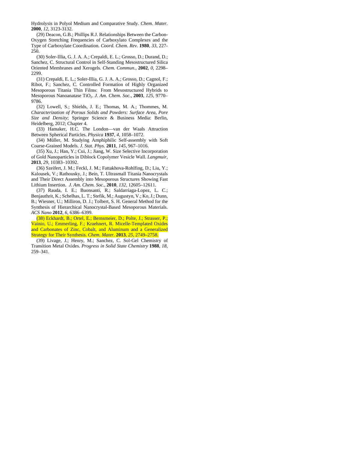Hydrolysis in Polyol Medium and Comparative Study. *Chem. Mater.* **2000**, *12*, 3123-3132.

(29) Deacon, G.B.; Phillips R.J. Relationships Between the Carbon-Oxygen Stretching Frequencies of Carboxylato Complexes and the Type of Carboxylate Coordination. *Coord. Chem. Rev.* **1980**, *33*, 227- 250.

(30) Soler-Illia, G. J. A. A.; Crepaldi, E. L.; Grosso, D.; Durand, D.; Sanchez, C. Structural Control in Self-Standing Mesostructured Silica Oriented Membranes and Xerogels. *Chem. Commun.*, **2002**, *0*, 2298– 2299.

(31) Crepaldi, E. L.; Soler-Illia, G. J. A. A.; Grosso, D.; Cagnol, F.; Ribot, F.; Sanchez, C. Controlled Formation of Highly Organized Mesoporous Titania Thin Films:  From Mesostructured Hybrids to Mesoporous Nanoanatase TiO2. *J. Am. Chem. Soc.*, **2003**, *125*, 9770– 9786.

(32) Lowell, S.; Shields, J. E.; Thomas, M. A.; Thommes, M. *Characterization of Porous Solids and Powders: Surface Area, Pore Size and Density*; Springer Science & Business Media: Berlin, Heidelberg, 2012; Chapter 4.

(33) Hamaker, H.C. The London—van der Waals Attraction Between Spherical Particles. *Physica* **1937**, *4*, 1058–1072.

(34) Müller, M. Studying Amphiphilic Self-assembly with Soft Coarse-Grained Models. *J. Stat. Phys.* **2011**, *145*, 967–1016.

(35) Xu, J.; Han, Y.; Cui, J.; Jiang, W. Size Selective Incorporation of Gold Nanoparticles in Diblock Copolymer Vesicle Wall. *Langmuir*, **2013**, *29*, 10383–10392.

(36) Szeifert, J. M.; Feckl, J. M.; Fattakhova-Rohlfing, D.; Liu, Y.; Kalousek, V.; Rathousky, J.; Bein, T. Ultrasmall Titania Nanocrystals and Their Direct Assembly into Mesoporous Structures Showing Fast Lithium Insertion. *J. Am. Chem. Soc.*, **2010**, *132*, 12605–12611.

(37) Rauda, I. E.; Buonsanti, R.; Saldarriaga-Lopez, L. C.; Benjauthrit, K.; Schelhas, L. T.; Stefik, M.; Augustyn, V.; Ko, J.; Dunn, B.; Wiesner, U.; Milliron, D. J.; Tolbert, S. H. General Method for the Synthesis of Hierarchical Nanocrystal-Based Mesoporous Materials. *ACS Nano* **2012**, *6*, 6386–6399.

(38) Eckhardt, B.; Ortel, E.; Bernsmeier, D.; Polte, J.; Strasser, P.; Vainio, U.; Emmerling, F.; Kraehnert, R. Micelle-Templated Oxides and Carbonates of Zinc, Cobalt, and Aluminum and a Generalized Strategy for Their Synthesis. *Chem. Mater.* **2013**, *25*, 2749–2758.

(39) Livage, J.; Henry, M.; Sanchez, C. Sol-Gel Chemistry of Transition Metal Oxides. *Progress in Solid State Chemistry* **1988**, *18*, 259–341.